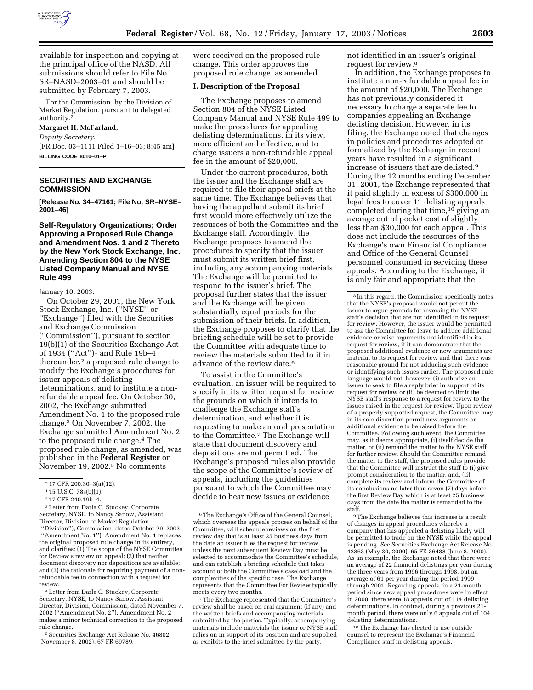

available for inspection and copying at the principal office of the NASD. All submissions should refer to File No. SR–NASD–2003–01 and should be submitted by February 7, 2003.

For the Commission, by the Division of Market Regulation, pursuant to delegated authority.<sup>7</sup>

### **Margaret H. McFarland,**

*Deputy Secretary.*

[FR Doc. 03–1111 Filed 1–16–03; 8:45 am] **BILLING CODE 8010–01–P**

# **SECURITIES AND EXCHANGE COMMISSION**

**[Release No. 34–47161; File No. SR–NYSE– 2001–46]** 

**Self-Regulatory Organizations; Order Approving a Proposed Rule Change and Amendment Nos. 1 and 2 Thereto by the New York Stock Exchange, Inc. Amending Section 804 to the NYSE Listed Company Manual and NYSE Rule 499** 

January 10, 2003.

On October 29, 2001, the New York Stock Exchange, Inc. (''NYSE'' or ''Exchange'') filed with the Securities and Exchange Commission (''Commission''), pursuant to section 19(b)(1) of the Securities Exchange Act of 1934 (''Act'')1 and Rule 19b–4 thereunder,<sup>2</sup> a proposed rule change to modify the Exchange's procedures for issuer appeals of delisting determinations, and to institute a nonrefundable appeal fee. On October 30, 2002, the Exchange submitted Amendment No. 1 to the proposed rule change.3 On November 7, 2002, the Exchange submitted Amendment No. 2 to the proposed rule change.4 The proposed rule change, as amended, was published in the **Federal Register** on November 19, 2002.5 No comments

3Letter from Darla C. Stuckey, Corporate Secretary, NYSE, to Nancy Sanow, Assistant Director, Division of Market Regulation (''Division''), Commission, dated October 29, 2002 (''Amendment No. 1''). Amendment No. 1 replaces the original proposed rule change in its entirety, and clarifies: (1) The scope of the NYSE Committee for Review's review on appeal; (2) that neither document discovery nor depositions are available; and (3) the rationale for requiring payment of a nonrefundable fee in connection with a request for review.

4Letter from Darla C. Stuckey, Corporate Secretary, NYSE, to Nancy Sanow, Assistant Director, Division, Commission, dated November 7, 2002 (''Amendment No. 2''). Amendment No. 2 makes a minor technical correction to the proposed rule change.

<sup>5</sup> Securities Exchange Act Release No. 46802 (November 8, 2002), 67 FR 69789.

were received on the proposed rule change. This order approves the proposed rule change, as amended.

### **I. Description of the Proposal**

The Exchange proposes to amend Section 804 of the NYSE Listed Company Manual and NYSE Rule 499 to make the procedures for appealing delisting determinations, in its view, more efficient and effective, and to charge issuers a non-refundable appeal fee in the amount of \$20,000.

Under the current procedures, both the issuer and the Exchange staff are required to file their appeal briefs at the same time. The Exchange believes that having the appellant submit its brief first would more effectively utilize the resources of both the Committee and the Exchange staff. Accordingly, the Exchange proposes to amend the procedures to specify that the issuer must submit its written brief first, including any accompanying materials. The Exchange will be permitted to respond to the issuer's brief. The proposal further states that the issuer and the Exchange will be given substantially equal periods for the submission of their briefs. In addition, the Exchange proposes to clarify that the briefing schedule will be set to provide the Committee with adequate time to review the materials submitted to it in advance of the review date.6

To assist in the Committee's evaluation, an issuer will be required to specify in its written request for review the grounds on which it intends to challenge the Exchange staff's determination, and whether it is requesting to make an oral presentation to the Committee.7 The Exchange will state that document discovery and depositions are not permitted. The Exchange's proposed rules also provide the scope of the Committee's review of appeals, including the guidelines pursuant to which the Committee may decide to hear new issues or evidence

7The Exchange represented that the Committee's review shall be based on oral argument (if any) and the written briefs and accompanying materials submitted by the parties. Typically, accompanying materials include materials the issuer or NYSE staff relies on in support of its position and are supplied as exhibits to the brief submitted by the party.

not identified in an issuer's original request for review.8

In addition, the Exchange proposes to institute a non-refundable appeal fee in the amount of \$20,000. The Exchange has not previously considered it necessary to charge a separate fee to companies appealing an Exchange delisting decision. However, in its filing, the Exchange noted that changes in policies and procedures adopted or formalized by the Exchange in recent years have resulted in a significant increase of issuers that are delisted.9 During the 12 months ending December 31, 2001, the Exchange represented that it paid slightly in excess of \$300,000 in legal fees to cover 11 delisting appeals completed during that time,10 giving an average out of pocket cost of slightly less than \$30,000 for each appeal. This does not include the resources of the Exchange's own Financial Compliance and Office of the General Counsel personnel consumed in servicing these appeals. According to the Exchange, it is only fair and appropriate that the

<sup>9</sup>The Exchange believes this increase is a result of changes in appeal procedures whereby a company that has appealed a delisting likely will be permitted to trade on the NYSE while the appeal is pending. *See* Securities Exchange Act Release No. 42863 (May 30, 2000), 65 FR 36488 (June 8, 2000). As an example, the Exchange noted that there were an average of 22 financial delistings per year during the three years from 1996 through 1998, but an average of 61 per year during the period 1999 through 2001. Regarding appeals, in a 21-month period since new appeal procedures were in effect in 2000, there were 18 appeals out of 114 delisting determinations. In contrast, during a previous 21 month period, there were only 6 appeals out of 104 delisting determinations.

10The Exchange has elected to use outside counsel to represent the Exchange's Financial Compliance staff in delisting appeals.

<sup>7</sup> 17 CFR 200.30–3(a)(12).

<sup>1</sup> 15 U.S.C. 78s(b)(1).

<sup>2</sup> 17 CFR 240.19b–4.

<sup>6</sup>The Exchange's Office of the General Counsel, which oversees the appeals process on behalf of the Committee, will schedule reviews on the first review day that is at least 25 business days from the date an issuer files the request for review, unless the next subsequent Review Day must be selected to accommodate the Committee's schedule, and can establish a briefing schedule that takes account of both the Committee's caseload and the complexities of the specific case. The Exchange represents that the Committee For Review typically meets every two months.

<sup>8</sup> In this regard, the Commission specifically notes that the NYSE's proposal would not permit the issuer to argue grounds for reversing the NYSE staff's decision that are not identified in its request for review. However, the issuer would be permitted to ask the Committee for leave to adduce additional evidence or raise arguments not identified in its request for review, if it can demonstrate that the proposed additional evidence or new arguments are material to its request for review and that there was reasonable ground for not adducing such evidence or identifying such issues earlier. The proposed rule language would not, however, (i) authorize an issuer to seek to file a reply brief in support of its request for review or (ii) be deemed to limit the NYSE staff's response to a request for review to the issues raised in the request for review. Upon review of a properly supported request, the Committee may in its sole discretion permit new arguments or additional evidence to be raised before the Committee. Following such event, the Committee may, as it deems appropriate, (i) itself decide the matter, or (ii) remand the matter to the NYSE staff for further review. Should the Committee remand the matter to the staff, the proposed rules provide that the Committee will instruct the staff to (i) give prompt consideration to the matter, and, (ii) complete its review and inform the Committee of its conclusions no later than seven (7) days before the first Review Day which is at least 25 business days from the date the matter is remanded to the staff.